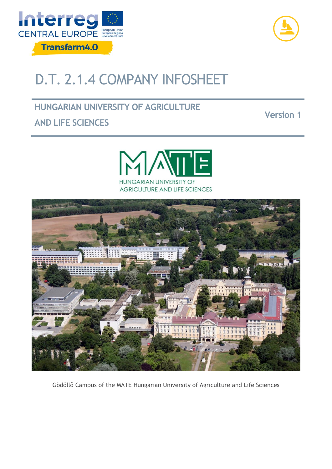



# D.T. 2.1.4 COMPANY INFOSHEET

# **HUNGARIAN UNIVERSITY OF AGRICULTURE**

# **AND LIFE SCIENCES**





Gödöllő Campus of the MATE Hungarian University of Agriculture and Life Sciences

### **Version 1**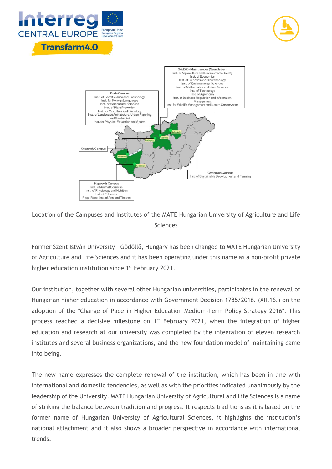





Location of the Campuses and Institutes of the MATE Hungarian University of Agriculture and Life Sciences

Former Szent István University – Gödöllő, Hungary has been changed to MATE Hungarian University of Agriculture and Life Sciences and it has been operating under this name as a non-profit private higher education institution since 1<sup>st</sup> February 2021.

Our institution, together with several other Hungarian universities, participates in the renewal of Hungarian higher education in accordance with Government Decision 1785/2016. (XII.16.) on the adoption of the "Change of Pace in Higher Education Medium-Term Policy Strategy 2016". This process reached a decisive milestone on 1<sup>st</sup> February 2021, when the integration of higher education and research at our university was completed by the integration of eleven research institutes and several business organizations, and the new foundation model of maintaining came into being.

The new name expresses the complete renewal of the institution, which has been in line with international and domestic tendencies, as well as with the priorities indicated unanimously by the leadership of the University. MATE Hungarian University of Agricultural and Life Sciences is a name of striking the balance between tradition and progress. It respects traditions as it is based on the former name of Hungarian University of Agricultural Sciences, it highlights the institution's national attachment and it also shows a broader perspective in accordance with international trends.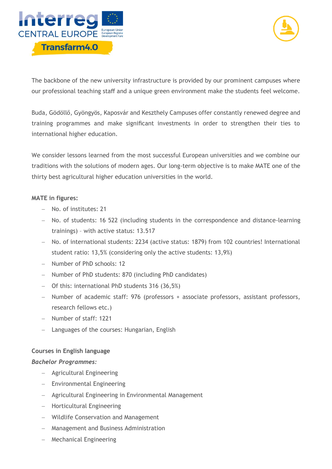



The backbone of the new university infrastructure is provided by our prominent campuses where our professional teaching staff and a unique green environment make the students feel welcome.

Buda, Gödöllő, Gyöngyös, Kaposvár and Keszthely Campuses offer constantly renewed degree and training programmes and make significant investments in order to strengthen their ties to international higher education.

We consider lessons learned from the most successful European universities and we combine our traditions with the solutions of modern ages. Our long-term objective is to make MATE one of the thirty best agricultural higher education universities in the world.

#### **MATE in figures:**

- − No. of institutes: 21
- − No. of students: 16 522 (including students in the correspondence and distance-learning trainings) – with active status: 13.517
- − No. of international students: 2234 (active status: 1879) from 102 countries! International student ratio: 13,5% (considering only the active students: 13,9%)
- − Number of PhD schools: 12
- − Number of PhD students: 870 (including PhD candidates)
- − Of this: international PhD students 316 (36,5%)
- − Number of academic staff: 976 (professors + associate professors, assistant professors, research fellows etc.)
- − Number of staff: 1221
- − Languages of the courses: Hungarian, English

#### **Courses in English language**

#### *Bachelor Programmes:*

- − Agricultural Engineering
- − Environmental Engineering
- − Agricultural Engineering in Environmental Management
- − Horticultural Engineering
- − Wildlife Conservation and Management
- − Management and Business Administration
- − Mechanical Engineering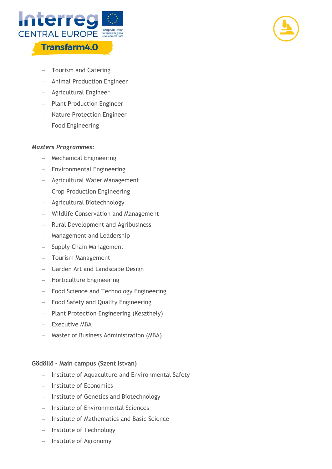



- − Tourism and Catering
- − Animal Production Engineer
- − Agricultural Engineer
- − Plant Production Engineer
- − Nature Protection Engineer
- − Food Engineering

#### *Masters Programmes:*

- − Mechanical Engineering
- − Environmental Engineering
- − Agricultural Water Management
- − Crop Production Engineering
- − Agricultural Biotechnology
- − Wildlife Conservation and Management
- − Rural Development and Agribusiness
- − Management and Leadership
- − Supply Chain Management
- − Tourism Management
- − Garden Art and Landscape Design
- − Horticulture Engineering
- − Food Science and Technology Engineering
- − Food Safety and Quality Engineering
- − Plant Protection Engineering (Keszthely)
- − Executive MBA
- − Master of Business Administration (MBA)

#### **Gödöllő – Main campus (Szent Istvan)**

- − Institute of Aquaculture and Environmental Safety
- − Institute of Economics
- − Institute of Genetics and Biotechnology
- − Institute of Environmental Sciences
- − Institute of Mathematics and Basic Science
- − Institute of Technology
- − Institute of Agronomy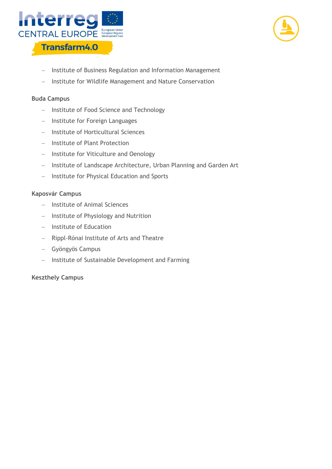



- − Institute of Business Regulation and Information Management
- − Institute for Wildlife Management and Nature Conservation

#### **Buda Campus**

- − Institute of Food Science and Technology
- − Institute for Foreign Languages
- − Institute of Horticultural Sciences
- − Institute of Plant Protection
- − Institute for Viticulture and Oenology
- − Institute of Landscape Architecture, Urban Planning and Garden Art
- − Institute for Physical Education and Sports

#### **Kaposvár Campus**

- − Institute of Animal Sciences
- − Institute of Physiology and Nutrition
- − Institute of Education
- − Rippl-Rónai Institute of Arts and Theatre
- − Gyöngyös Campus
- − Institute of Sustainable Development and Farming

#### **Keszthely Campus**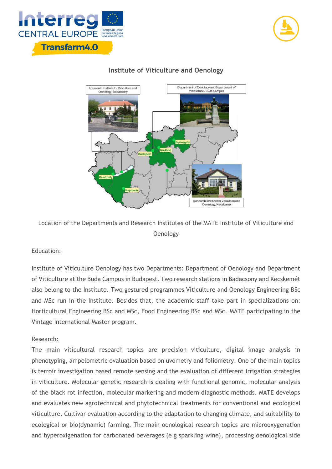





### **Institute of Viticulture and Oenology**

Location of the Departments and Research Institutes of the MATE Institute of Viticulture and **Oenology** 

### Education:

Institute of Viticulture Oenology has two Departments: Department of Oenology and Department of Viticulture at the Buda Campus in Budapest. Two research stations in Badacsony and Kecskemét also belong to the Institute. Two gestured programmes Viticulture and Oenology Engineering BSc and MSc run in the Institute. Besides that, the academic staff take part in specializations on: Horticultural Engineering BSc and MSc, Food Engineering BSc and MSc. MATE participating in the Vintage International Master program.

#### Research:

The main viticultural research topics are precision viticulture, digital image analysis in phenotyping, ampelometric evaluation based on uvometry and foliometry. One of the main topics is terroir investigation based remote sensing and the evaluation of different irrigation strategies in viticulture. Molecular genetic research is dealing with functional genomic, molecular analysis of the black rot infection, molecular markering and modern diagnostic methods. MATE develops and evaluates new agrotechnical and phytotechnical treatments for conventional and ecological viticulture. Cultivar evaluation according to the adaptation to changing climate, and suitability to ecological or bio(dynamic) farming. The main oenological research topics are microoxygenation and hyperoxigenation for carbonated beverages (e g sparkling wine), processing oenological side